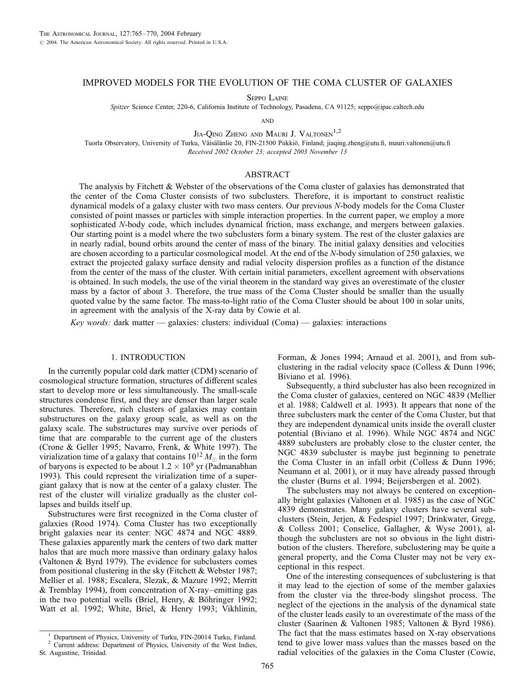## IMPROVED MODELS FOR THE EVOLUTION OF THE COMA CLUSTER OF GALAXIES

Seppo Laine

Spitzer Science Center, 220-6, California Institute of Technology, Pasadena, CA 91125; seppo@ipac.caltech.edu

**AND** 

JIA-QING ZHENG AND MAURI J. VALTONEN<sup>1,2</sup>

Tuorla Observatory, University of Turku, Väisälänlie 20, FIN-21500 Piikkiö, Finland; jiaqing.zheng@utu.fi, mauri.valtonen@utu.fi Received 2002 October 23; accepted 2003 November 13

# ABSTRACT

The analysis by Fitchett & Webster of the observations of the Coma cluster of galaxies has demonstrated that the center of the Coma Cluster consists of two subclusters. Therefore, it is important to construct realistic dynamical models of a galaxy cluster with two mass centers. Our previous N-body models for the Coma Cluster consisted of point masses or particles with simple interaction properties. In the current paper, we employ a more sophisticated N-body code, which includes dynamical friction, mass exchange, and mergers between galaxies. Our starting point is a model where the two subclusters form a binary system. The rest of the cluster galaxies are in nearly radial, bound orbits around the center of mass of the binary. The initial galaxy densities and velocities are chosen according to a particular cosmological model. At the end of the N-body simulation of 250 galaxies, we extract the projected galaxy surface density and radial velocity dispersion profiles as a function of the distance from the center of the mass of the cluster. With certain initial parameters, excellent agreement with observations is obtained. In such models, the use of the virial theorem in the standard way gives an overestimate of the cluster mass by a factor of about 3. Therefore, the true mass of the Coma Cluster should be smaller than the usually quoted value by the same factor. The mass-to-light ratio of the Coma Cluster should be about 100 in solar units, in agreement with the analysis of the X-ray data by Cowie et al.

Key words: dark matter — galaxies: clusters: individual  $(Coma)$  — galaxies: interactions

## 1. INTRODUCTION

In the currently popular cold dark matter (CDM) scenario of cosmological structure formation, structures of different scales start to develop more or less simultaneously. The small-scale structures condense first, and they are denser than larger scale structures. Therefore, rich clusters of galaxies may contain substructures on the galaxy group scale, as well as on the galaxy scale. The substructures may survive over periods of time that are comparable to the current age of the clusters (Crone & Geller 1995; Navarro, Frenk, & White 1997). The virialization time of a galaxy that contains  $10^{12} M_{\odot}$  in the form of baryons is expected to be about  $1.2 \times 10^9$  yr (Padmanabhan 1993). This could represent the virialization time of a supergiant galaxy that is now at the center of a galaxy cluster. The rest of the cluster will virialize gradually as the cluster collapses and builds itself up.

Substructures were first recognized in the Coma cluster of galaxies (Rood 1974). Coma Cluster has two exceptionally bright galaxies near its center: NGC 4874 and NGC 4889. These galaxies apparently mark the centers of two dark matter halos that are much more massive than ordinary galaxy halos (Valtonen & Byrd 1979). The evidence for subclusters comes from positional clustering in the sky (Fitchett & Webster 1987; Mellier et al. 1988; Escalera, Slezak, & Mazure 1992; Merritt & Tremblay 1994), from concentration of X-ray–emitting gas in the two potential wells (Briel, Henry,  $\&$  Böhringer 1992; Watt et al. 1992; White, Briel, & Henry 1993; Vikhlinin,

Forman, & Jones 1994; Arnaud et al. 2001), and from subclustering in the radial velocity space (Colless & Dunn 1996; Biviano et al. 1996).

Subsequently, a third subcluster has also been recognized in the Coma cluster of galaxies, centered on NGC 4839 (Mellier et al. 1988; Caldwell et al. 1993). It appears that none of the three subclusters mark the center of the Coma Cluster, but that they are independent dynamical units inside the overall cluster potential (Biviano et al. 1996). While NGC 4874 and NGC 4889 subclusters are probably close to the cluster center, the NGC 4839 subcluster is maybe just beginning to penetrate the Coma Cluster in an infall orbit (Colless & Dunn 1996; Neumann et al. 2001), or it may have already passed through the cluster (Burns et al. 1994; Beijersbergen et al. 2002).

The subclusters may not always be centered on exceptionally bright galaxies (Valtonen et al. 1985) as the case of NGC 4839 demonstrates. Many galaxy clusters have several subclusters (Stein, Jerjen, & Fedespiel 1997; Drinkwater, Gregg, & Colless 2001; Conselice, Gallagher, & Wyse 2001), although the subclusters are not so obvious in the light distribution of the clusters. Therefore, subclustering may be quite a general property, and the Coma Cluster may not be very exceptional in this respect.

One of the interesting consequences of subclustering is that it may lead to the ejection of some of the member galaxies from the cluster via the three-body slingshot process. The neglect of the ejections in the analysis of the dynamical state of the cluster leads easily to an overestimate of the mass of the cluster (Saarinen & Valtonen 1985; Valtonen & Byrd 1986). The fact that the mass estimates based on X-ray observations tend to give lower mass values than the masses based on the radial velocities of the galaxies in the Coma Cluster (Cowie,

Department of Physics, University of Turku, FIN-20014 Turku, Finland. Current address: Department of Physics, University of the West Indies,

St. Augustine, Trinidad.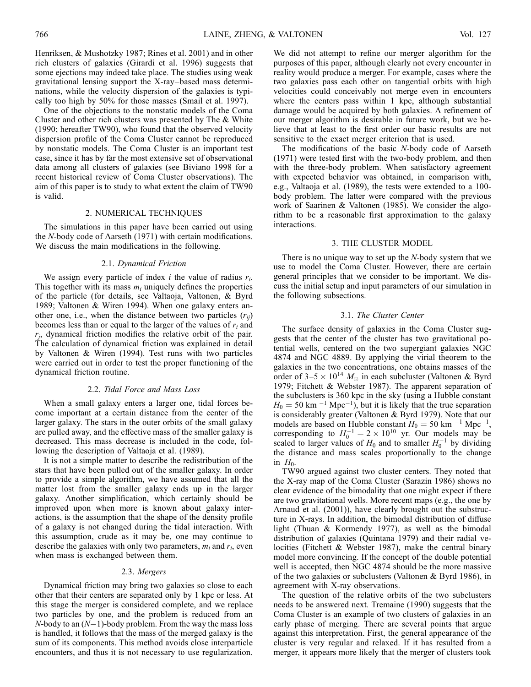Henriksen, & Mushotzky 1987; Rines et al. 2001) and in other rich clusters of galaxies (Girardi et al. 1996) suggests that some ejections may indeed take place. The studies using weak gravitational lensing support the X-ray–based mass determinations, while the velocity dispersion of the galaxies is typically too high by 50% for those masses (Smail et al. 1997).

One of the objections to the nonstatic models of the Coma Cluster and other rich clusters was presented by The & White (1990; hereafter TW90), who found that the observed velocity dispersion profile of the Coma Cluster cannot be reproduced by nonstatic models. The Coma Cluster is an important test case, since it has by far the most extensive set of observational data among all clusters of galaxies (see Biviano 1998 for a recent historical review of Coma Cluster observations). The aim of this paper is to study to what extent the claim of TW90 is valid.

## 2. NUMERICAL TECHNIQUES

The simulations in this paper have been carried out using the N-body code of Aarseth (1971) with certain modifications. We discuss the main modifications in the following.

### 2.1. Dynamical Friction

We assign every particle of index  $i$  the value of radius  $r_i$ . This together with its mass  $m_i$  uniquely defines the properties of the particle (for details, see Valtaoja, Valtonen, & Byrd 1989; Valtonen & Wiren 1994). When one galaxy enters another one, i.e., when the distance between two particles  $(r_{ii})$ becomes less than or equal to the larger of the values of  $r_i$  and  $r_i$ , dynamical friction modifies the relative orbit of the pair. The calculation of dynamical friction was explained in detail by Valtonen & Wiren (1994). Test runs with two particles were carried out in order to test the proper functioning of the dynamical friction routine.

#### 2.2. Tidal Force and Mass Loss

When a small galaxy enters a larger one, tidal forces become important at a certain distance from the center of the larger galaxy. The stars in the outer orbits of the small galaxy are pulled away, and the effective mass of the smaller galaxy is decreased. This mass decrease is included in the code, following the description of Valtaoja et al. (1989).

It is not a simple matter to describe the redistribution of the stars that have been pulled out of the smaller galaxy. In order to provide a simple algorithm, we have assumed that all the matter lost from the smaller galaxy ends up in the larger galaxy. Another simplification, which certainly should be improved upon when more is known about galaxy interactions, is the assumption that the shape of the density profile of a galaxy is not changed during the tidal interaction. With this assumption, crude as it may be, one may continue to describe the galaxies with only two parameters,  $m_i$  and  $r_i$ , even when mass is exchanged between them.

#### 2.3. Mergers

Dynamical friction may bring two galaxies so close to each other that their centers are separated only by 1 kpc or less. At this stage the merger is considered complete, and we replace two particles by one, and the problem is reduced from an  $N$ -body to an  $(N-1)$ -body problem. From the way the mass loss is handled, it follows that the mass of the merged galaxy is the sum of its components. This method avoids close interparticle encounters, and thus it is not necessary to use regularization.

We did not attempt to refine our merger algorithm for the purposes of this paper, although clearly not every encounter in reality would produce a merger. For example, cases where the two galaxies pass each other on tangential orbits with high velocities could conceivably not merge even in encounters where the centers pass within 1 kpc, although substantial damage would be acquired by both galaxies. A refinement of our merger algorithm is desirable in future work, but we believe that at least to the first order our basic results are not sensitive to the exact merger criterion that is used.

The modifications of the basic N-body code of Aarseth (1971) were tested first with the two-body problem, and then with the three-body problem. When satisfactory agreement with expected behavior was obtained, in comparison with, e.g., Valtaoja et al. (1989), the tests were extended to a 100 body problem. The latter were compared with the previous work of Saarinen & Valtonen (1985). We consider the algorithm to be a reasonable first approximation to the galaxy interactions.

#### 3. THE CLUSTER MODEL

There is no unique way to set up the N-body system that we use to model the Coma Cluster. However, there are certain general principles that we consider to be important. We discuss the initial setup and input parameters of our simulation in the following subsections.

#### 3.1. The Cluster Center

The surface density of galaxies in the Coma Cluster suggests that the center of the cluster has two gravitational potential wells, centered on the two supergiant galaxies NGC 4874 and NGC 4889. By applying the virial theorem to the galaxies in the two concentrations, one obtains masses of the order of 3–5  $\times$  10<sup>14</sup>  $M_{\odot}$  in each subcluster (Valtonen & Byrd 1979; Fitchett & Webster 1987). The apparent separation of the subclusters is 360 kpc in the sky (using a Hubble constant  $H_0 = 50$  km <sup>-1</sup> Mpc<sup>-1</sup>), but it is likely that the true separation is considerably greater (Valtonen & Byrd 1979). Note that our models are based on Hubble constant  $H_0 = 50$  km <sup>-1</sup> Mpc<sup>-1</sup>, corresponding to  $H_0^{-1} = 2 \times 10^{10}$  yr. Our models may be scaled to larger values of  $H_0$  and to smaller  $H_0^{-1}$  by dividing the distance and mass scales proportionally to the change in  $H_0$ .

TW90 argued against two cluster centers. They noted that the X-ray map of the Coma Cluster (Sarazin 1986) shows no clear evidence of the bimodality that one might expect if there are two gravitational wells. More recent maps (e.g., the one by Arnaud et al. (2001)), have clearly brought out the substructure in X-rays. In addition, the bimodal distribution of diffuse light (Thuan & Kormendy 1977), as well as the bimodal distribution of galaxies (Quintana 1979) and their radial velocities (Fitchett & Webster 1987), make the central binary model more convincing. If the concept of the double potential well is accepted, then NGC 4874 should be the more massive of the two galaxies or subclusters (Valtonen & Byrd 1986), in agreement with X-ray observations.

The question of the relative orbits of the two subclusters needs to be answered next. Tremaine (1990) suggests that the Coma Cluster is an example of two clusters of galaxies in an early phase of merging. There are several points that argue against this interpretation. First, the general appearance of the cluster is very regular and relaxed. If it has resulted from a merger, it appears more likely that the merger of clusters took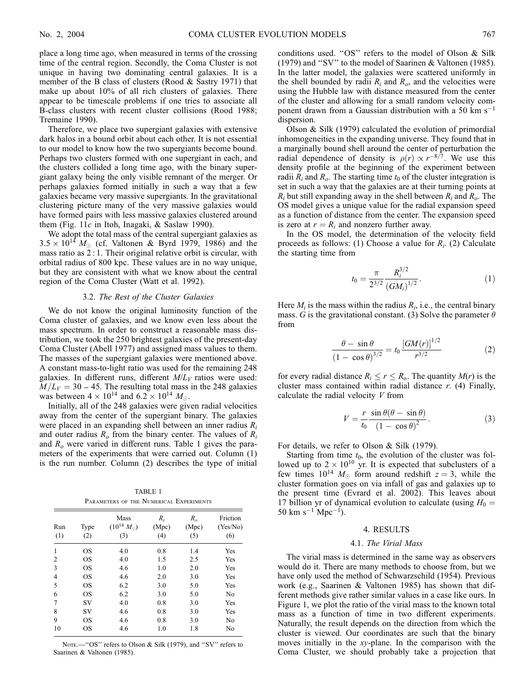place a long time ago, when measured in terms of the crossing time of the central region. Secondly, the Coma Cluster is not unique in having two dominating central galaxies. It is a member of the B class of clusters (Rood & Sastry 1971) that make up about 10% of all rich clusters of galaxies. There appear to be timescale problems if one tries to associate all B-class clusters with recent cluster collisions (Rood 1988; Tremaine 1990).

Therefore, we place two supergiant galaxies with extensive dark halos in a bound orbit about each other. It is not essential to our model to know how the two supergiants become bound. Perhaps two clusters formed with one supergiant in each, and the clusters collided a long time ago, with the binary supergiant galaxy being the only visible remnant of the merger. Or perhaps galaxies formed initially in such a way that a few galaxies became very massive supergiants. In the gravitational clustering picture many of the very massive galaxies would have formed pairs with less massive galaxies clustered around them (Fig.  $11c$  in Itoh, Inagaki, & Saslaw 1990).

We adopt the total mass of the central supergiant galaxies as  $3.5 \times 10^{14}$   $M_{\odot}$  (cf. Valtonen & Byrd 1979, 1986) and the mass ratio as 2 : 1. Their original relative orbit is circular, with orbital radius of 800 kpc. These values are in no way unique, but they are consistent with what we know about the central region of the Coma Cluster (Watt et al. 1992).

#### 3.2. The Rest of the Cluster Galaxies

We do not know the original luminosity function of the Coma cluster of galaxies, and we know even less about the mass spectrum. In order to construct a reasonable mass distribution, we took the 250 brightest galaxies of the present-day Coma Cluster (Abell 1977) and assigned mass values to them. The masses of the supergiant galaxies were mentioned above. A constant mass-to-light ratio was used for the remaining 248 galaxies. In different runs, different  $M/L_V$  ratios were used:  $M/L_V = 30 - 45$ . The resulting total mass in the 248 galaxies was between  $4 \times 10^{14}$  and  $6.2 \times 10^{14}$   $M_{\odot}$ .

Initially, all of the 248 galaxies were given radial velocities away from the center of the supergiant binary. The galaxies were placed in an expanding shell between an inner radius  $R_i$ and outer radius  $R_o$  from the binary center. The values of  $R_i$ and  $R_o$  were varied in different runs. Table 1 gives the parameters of the experiments that were carried out. Column (1) is the run number. Column (2) describes the type of initial

TABLE 1 Parameters of the Numerical Experiments

| Run<br>(1)     | Type<br>(2) | Mass<br>$(10^{14} M_{\odot})$<br>(3) | $R_i$<br>(Mpc)<br>(4) | $R_{\alpha}$<br>(Mpc)<br>(5) | Friction<br>(Yes/No)<br>(6) |
|----------------|-------------|--------------------------------------|-----------------------|------------------------------|-----------------------------|
| 1              | <b>OS</b>   | 4.0                                  | 0.8                   | 1.4                          | Yes                         |
| $\overline{c}$ | <b>OS</b>   | 4.0                                  | 1.5                   | 2.5                          | Yes                         |
| 3              | <b>OS</b>   | 4.6                                  | 1.0                   | 2.0                          | Yes                         |
| 4              | <b>OS</b>   | 4.6                                  | 2.0                   | 3.0                          | Yes                         |
| 5              | <b>OS</b>   | 6.2                                  | 3.0                   | 5.0                          | Yes                         |
| 6              | <b>OS</b>   | 6.2                                  | 3.0                   | 5.0                          | No                          |
| 7              | SV          | 4.0                                  | 0.8                   | 3.0                          | Yes                         |
| 8              | SV          | 4.6                                  | 0.8                   | 3.0                          | Yes                         |
| 9              | <b>OS</b>   | 4.6                                  | 0.8                   | 3.0                          | No                          |
| 10             | OS          | 4.6                                  | 1.0                   | 1.8                          | No                          |

NOTE.—"OS" refers to Olson & Silk (1979), and "SV" refers to Saarinen & Valtonen (1985).

conditions used. ''OS'' refers to the model of Olson & Silk (1979) and ''SV'' to the model of Saarinen & Valtonen (1985). In the latter model, the galaxies were scattered uniformly in the shell bounded by radii  $R_i$  and  $R_o$ , and the velocities were using the Hubble law with distance measured from the center of the cluster and allowing for a small random velocity component drawn from a Gaussian distribution with a 50 km  $s^{-1}$ dispersion.

Olson & Silk (1979) calculated the evolution of primordial inhomogeneities in the expanding universe. They found that in a marginally bound shell around the center of perturbation the radial dependence of density is  $\rho(r) \propto r^{-8/7}$ . We use this density profile at the beginning of the experiment between radii  $R_i$  and  $R_o$ . The starting time  $t_0$  of the cluster integration is set in such a way that the galaxies are at their turning points at  $R_i$  but still expanding away in the shell between  $R_i$  and  $R_o$ . The OS model gives a unique value for the radial expansion speed as a function of distance from the center. The expansion speed is zero at  $r = R_i$  and nonzero further away.

In the OS model, the determination of the velocity field proceeds as follows: (1) Choose a value for  $R_i$ . (2) Calculate the starting time from

$$
t_0 = \frac{\pi}{2^{3/2}} \frac{R_i^{3/2}}{(GM_i)^{1/2}}.
$$
 (1)

Here  $M_i$  is the mass within the radius  $R_i$ , i.e., the central binary mass. G is the gravitational constant. (3) Solve the parameter  $\theta$ from

$$
\frac{\theta - \sin \theta}{(1 - \cos \theta)^{3/2}} = t_0 \frac{[GM(r)]^{1/2}}{r^{3/2}}
$$
(2)

for every radial distance  $R_i \le r \le R_o$ . The quantity  $M(r)$  is the cluster mass contained within radial distance  $r$ . (4) Finally, calculate the radial velocity  $V$  from

$$
V = \frac{r}{t_0} \frac{\sin \theta (\theta - \sin \theta)}{\left(1 - \cos \theta\right)^2}.
$$
 (3)

For details, we refer to Olson & Silk (1979).

Starting from time  $t_0$ , the evolution of the cluster was followed up to  $2 \times 10^{10}$  yr. It is expected that subclusters of a few times  $10^{14}$   $M_{\odot}$  form around redshift  $z = 3$ , while the cluster formation goes on via infall of gas and galaxies up to the present time (Evrard et al. 2002). This leaves about 17 billion yr of dynamical evolution to calculate (using  $H_0 =$ 50 km  $s^{-1}$  Mpc<sup>-1</sup>).

## 4. RESULTS

## 4.1. The Virial Mass

The virial mass is determined in the same way as observers would do it. There are many methods to choose from, but we have only used the method of Schwarzschild (1954). Previous work (e.g., Saarinen & Valtonen 1985) has shown that different methods give rather similar values in a case like ours. In Figure 1, we plot the ratio of the virial mass to the known total mass as a function of time in two different experiments. Naturally, the result depends on the direction from which the cluster is viewed. Our coordinates are such that the binary moves initially in the xy-plane. In the comparison with the Coma Cluster, we should probably take a projection that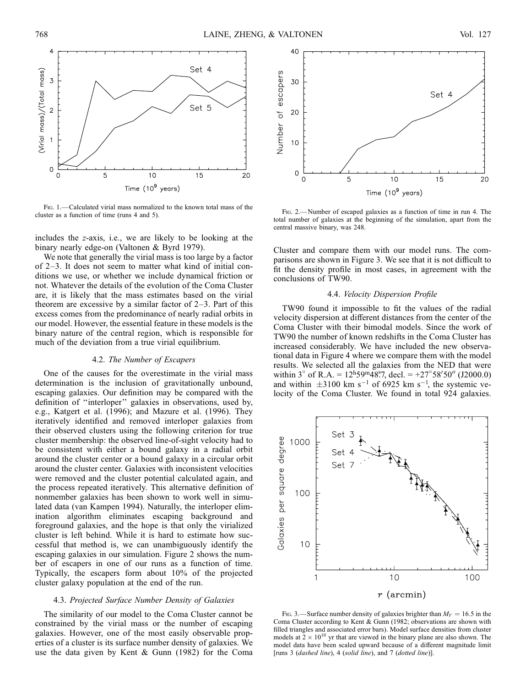

Fig. 1.—Calculated virial mass normalized to the known total mass of the

includes the z-axis, i.e., we are likely to be looking at the binary nearly edge-on (Valtonen & Byrd 1979).

We note that generally the virial mass is too large by a factor of 2–3. It does not seem to matter what kind of initial conditions we use, or whether we include dynamical friction or not. Whatever the details of the evolution of the Coma Cluster are, it is likely that the mass estimates based on the virial theorem are excessive by a similar factor of 2–3. Part of this excess comes from the predominance of nearly radial orbits in our model. However, the essential feature in these models is the binary nature of the central region, which is responsible for much of the deviation from a true virial equilibrium.

## 4.2. The Number of Escapers

One of the causes for the overestimate in the virial mass determination is the inclusion of gravitationally unbound, escaping galaxies. Our definition may be compared with the definition of ''interloper'' galaxies in observations, used by, e.g., Katgert et al. (1996); and Mazure et al. (1996). They iteratively identified and removed interloper galaxies from their observed clusters using the following criterion for true cluster membership: the observed line-of-sight velocity had to be consistent with either a bound galaxy in a radial orbit around the cluster center or a bound galaxy in a circular orbit around the cluster center. Galaxies with inconsistent velocities were removed and the cluster potential calculated again, and the process repeated iteratively. This alternative definition of nonmember galaxies has been shown to work well in simulated data (van Kampen 1994). Naturally, the interloper elimination algorithm eliminates escaping background and foreground galaxies, and the hope is that only the virialized cluster is left behind. While it is hard to estimate how successful that method is, we can unambiguously identify the escaping galaxies in our simulation. Figure 2 shows the number of escapers in one of our runs as a function of time. Typically, the escapers form about 10% of the projected cluster galaxy population at the end of the run.

### 4.3. Projected Surface Number Density of Galaxies

The similarity of our model to the Coma Cluster cannot be constrained by the virial mass or the number of escaping galaxies. However, one of the most easily observable properties of a cluster is its surface number density of galaxies. We use the data given by Kent & Gunn (1982) for the Coma



FIG. 2.—Number of escaped galaxies as a function of time in run 4. The cluster as a function of time (runs 4 and 5). total number of galaxies at the beginning of the simulation, apart from the central massive binary, was 248.

Cluster and compare them with our model runs. The comparisons are shown in Figure 3. We see that it is not difficult to fit the density profile in most cases, in agreement with the conclusions of TW90.

## 4.4. Velocity Dispersion Profile

TW90 found it impossible to fit the values of the radial velocity dispersion at different distances from the center of the Coma Cluster with their bimodal models. Since the work of TW90 the number of known redshifts in the Coma Cluster has increased considerably. We have included the new observational data in Figure 4 where we compare them with the model results. We selected all the galaxies from the NED that were within 3° of R.A. =  $12^{\text{h}}59^{\text{m}}48^{\text{s}}$ .7, decl. =  $+27^{\circ}58'50''$  (J2000.0) and within  $\pm 3100 \text{ km s}^{-1}$  of 6925 km s<sup>-1</sup>, the systemic velocity of the Coma Cluster. We found in total 924 galaxies.



Fig. 3.—Surface number density of galaxies brighter than  $M_V = 16.5$  in the Coma Cluster according to Kent & Gunn (1982; observations are shown with filled triangles and associated error bars). Model surface densities from cluster models at  $2 \times 10^{10}$  yr that are viewed in the binary plane are also shown. The model data have been scaled upward because of a different magnitude limit [runs 3 (dashed line), 4 (solid line), and 7 (dotted line)].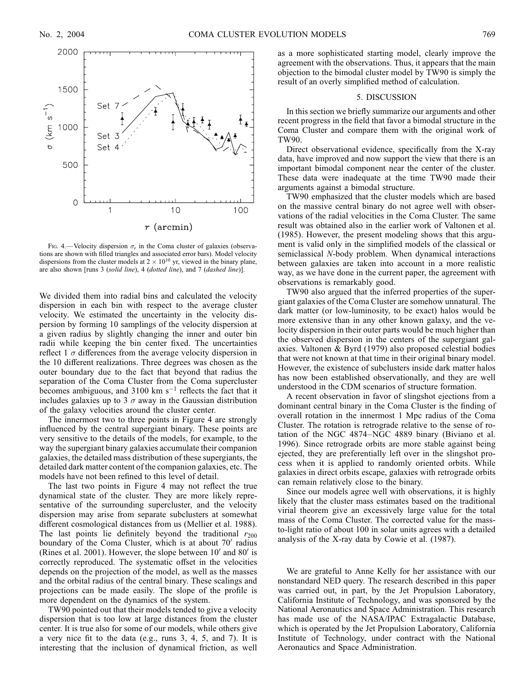

Fig. 4.—Velocity dispersion  $\sigma_r$  in the Coma cluster of galaxies (observations are shown with filled triangles and associated error bars). Model velocity dispersions from the cluster models at  $2 \times 10^{10}$  yr, viewed in the binary plane, are also shown [runs 3 (solid line), 4 (dotted line), and 7 (dashed line)].

We divided them into radial bins and calculated the velocity dispersion in each bin with respect to the average cluster velocity. We estimated the uncertainty in the velocity dispersion by forming 10 samplings of the velocity dispersion at a given radius by slightly changing the inner and outer bin radii while keeping the bin center fixed. The uncertainties reflect 1  $\sigma$  differences from the average velocity dispersion in the 10 different realizations. Three degrees was chosen as the outer boundary due to the fact that beyond that radius the separation of the Coma Cluster from the Coma supercluster becomes ambiguous, and 3100 km  $s^{-1}$  reflects the fact that it includes galaxies up to 3  $\sigma$  away in the Gaussian distribution of the galaxy velocities around the cluster center.

The innermost two to three points in Figure 4 are strongly influenced by the central supergiant binary. These points are very sensitive to the details of the models, for example, to the way the supergiant binary galaxies accumulate their companion galaxies, the detailed mass distribution of these supergiants, the detailed dark matter content of the companion galaxies, etc. The models have not been refined to this level of detail.

The last two points in Figure 4 may not reflect the true dynamical state of the cluster. They are more likely representative of the surrounding supercluster, and the velocity dispersion may arise from separate subclusters at somewhat different cosmological distances from us (Mellier et al. 1988). The last points lie definitely beyond the traditional  $r_{200}$ boundary of the Coma Cluster, which is at about  $70'$  radius (Rines et al. 2001). However, the slope between  $10'$  and  $80'$  is correctly reproduced. The systematic offset in the velocities depends on the projection of the model, as well as the masses and the orbital radius of the central binary. These scalings and projections can be made easily. The slope of the profile is more dependent on the dynamics of the system.

TW90 pointed out that their models tended to give a velocity dispersion that is too low at large distances from the cluster center. It is true also for some of our models, while others give a very nice fit to the data (e.g., runs 3, 4, 5, and 7). It is interesting that the inclusion of dynamical friction, as well as a more sophisticated starting model, clearly improve the agreement with the observations. Thus, it appears that the main objection to the bimodal cluster model by TW90 is simply the result of an overly simplified method of calculation.

#### 5. DISCUSSION

In this section we briefly summarize our arguments and other recent progress in the field that favor a bimodal structure in the Coma Cluster and compare them with the original work of TW90.

Direct observational evidence, specifically from the X-ray data, have improved and now support the view that there is an important bimodal component near the center of the cluster. These data were inadequate at the time TW90 made their arguments against a bimodal structure.

TW90 emphasized that the cluster models which are based on the massive central binary do not agree well with observations of the radial velocities in the Coma Cluster. The same result was obtained also in the earlier work of Valtonen et al. (1985). However, the present modeling shows that this argument is valid only in the simplified models of the classical or semiclassical N-body problem. When dynamical interactions between galaxies are taken into account in a more realistic way, as we have done in the current paper, the agreement with observations is remarkably good.

TW90 also argued that the inferred properties of the supergiant galaxies of the Coma Cluster are somehow unnatural. The dark matter (or low-luminosity, to be exact) halos would be more extensive than in any other known galaxy, and the velocity dispersion in their outer parts would be much higher than the observed dispersion in the centers of the supergiant galaxies. Valtonen & Byrd (1979) also proposed celestial bodies that were not known at that time in their original binary model. However, the existence of subclusters inside dark matter halos has now been established observationally, and they are well understood in the CDM scenarios of structure formation.

A recent observation in favor of slingshot ejections from a dominant central binary in the Coma Cluster is the finding of overall rotation in the innermost 1 Mpc radius of the Coma Cluster. The rotation is retrograde relative to the sense of rotation of the NGC 4874–NGC 4889 binary (Biviano et al. 1996). Since retrograde orbits are more stable against being ejected, they are preferentially left over in the slingshot process when it is applied to randomly oriented orbits. While galaxies in direct orbits escape, galaxies with retrograde orbits can remain relatively close to the binary.

Since our models agree well with observations, it is highly likely that the cluster mass estimates based on the traditional virial theorem give an excessively large value for the total mass of the Coma Cluster. The corrected value for the massto-light ratio of about 100 in solar units agrees with a detailed analysis of the X-ray data by Cowie et al. (1987).

We are grateful to Anne Kelly for her assistance with our nonstandard NED query. The research described in this paper was carried out, in part, by the Jet Propulsion Laboratory, California Institute of Technology, and was sponsored by the National Aeronautics and Space Administration. This research has made use of the NASA/IPAC Extragalactic Database, which is operated by the Jet Propulsion Laboratory, California Institute of Technology, under contract with the National Aeronautics and Space Administration.